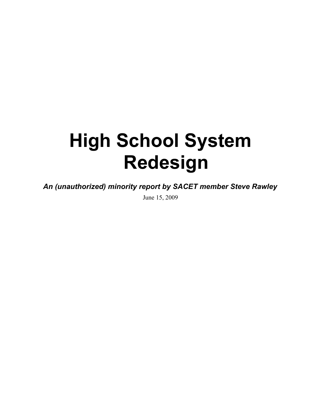# **High School System Redesign**

*An (unauthorized) minority report by SACET member Steve Rawley*

June 15, 2009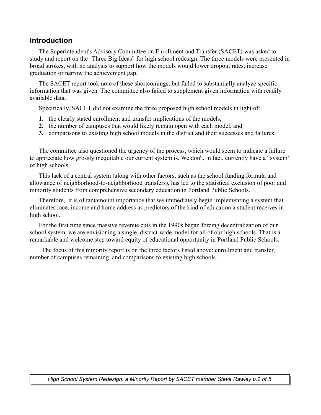#### **Introduction**

The Superintendent's Advisory Committee on Enrollment and Transfer (SACET) was asked to study and report on the "Three Big Ideas" for high school redesign. The three models were presented in broad strokes, with no analysis to support how the models would lower dropout rates, increase graduation or narrow the achievement gap.

The SACET report took note of these shortcomings, but failed to substantially analyze specific information that was given. The committee also failed to supplement given information with readily available data.

Specifically, SACET did not examine the three proposed high school models in light of:

- **1.** the clearly stated enrollment and transfer implications of the models,
- **2.** the number of campuses that would likely remain open with each model, and
- **3.** comparisons to existing high school models in the district and their successes and failures.

The committee also questioned the urgency of the process, which would seem to indicate a failure to appreciate how grossly inequitable our current system is. We don't, in fact, currently have a "system" of high schools.

This lack of a central system (along with other factors, such as the school funding formula and allowance of neighborhood-to-neighborhood transfers), has led to the statistical exclusion of poor and minority students from comprehensive secondary education in Portland Public Schools.

Therefore, it is of tantamount importance that we immediately begin implementing a system that eliminates race, income and home address as predictors of the kind of education a student receives in high school.

For the first time since massive revenue cuts in the 1990s began forcing decentralization of our school system, we are envisioning a single, district-wide model for all of our high schools. That is a remarkable and welcome step toward equity of educational opportunity in Portland Public Schools.

 The focus of this minority report is on the three factors listed above: enrollment and transfer, number of campuses remaining, and comparisons to existing high schools.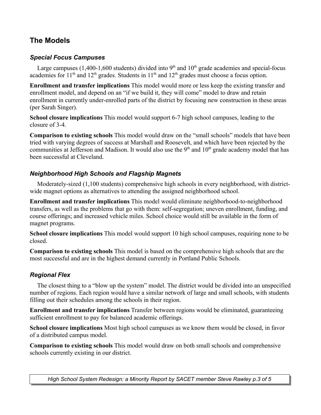# **The Models**

#### *Special Focus Campuses*

Large campuses  $(1,400-1,600$  students) divided into 9<sup>th</sup> and  $10<sup>th</sup>$  grade academies and special-focus academies for  $11<sup>th</sup>$  and  $12<sup>th</sup>$  grades. Students in  $11<sup>th</sup>$  and  $12<sup>th</sup>$  grades must choose a focus option.

**Enrollment and transfer implications** This model would more or less keep the existing transfer and enrollment model, and depend on an "if we build it, they will come" model to draw and retain enrollment in currently under-enrolled parts of the district by focusing new construction in these areas (per Sarah Singer).

**School closure implications** This model would support 6-7 high school campuses, leading to the closure of 3-4.

**Comparison to existing schools** This model would draw on the "small schools" models that have been tried with varying degrees of success at Marshall and Roosevelt, and which have been rejected by the communities at Jefferson and Madison. It would also use the  $9<sup>th</sup>$  and  $10<sup>th</sup>$  grade academy model that has been successful at Cleveland.

#### *Neighborhood High Schools and Flagship Magnets*

Moderately-sized (1,100 students) comprehensive high schools in every neighborhood, with districtwide magnet options as alternatives to attending the assigned neighborhood school.

**Enrollment and transfer implications** This model would eliminate neighborhood-to-neighborhood transfers, as well as the problems that go with them: self-segregation; uneven enrollment, funding, and course offerings; and increased vehicle miles. School choice would still be available in the form of magnet programs.

**School closure implications** This model would support 10 high school campuses, requiring none to be closed.

**Comparison to existing schools** This model is based on the comprehensive high schools that are the most successful and are in the highest demand currently in Portland Public Schools.

### *Regional Flex*

The closest thing to a "blow up the system" model. The district would be divided into an unspecified number of regions. Each region would have a similar network of large and small schools, with students filling out their schedules among the schools in their region.

**Enrollment and transfer implications** Transfer between regions would be eliminated, guaranteeing sufficient enrollment to pay for balanced academic offerings.

**School closure implications** Most high school campuses as we know them would be closed, in favor of a distributed campus model.

**Comparison to existing schools** This model would draw on both small schools and comprehensive schools currently existing in our district.

*High School System Redesign: a Minority Report by SACET member Steve Rawley p.3 of 5*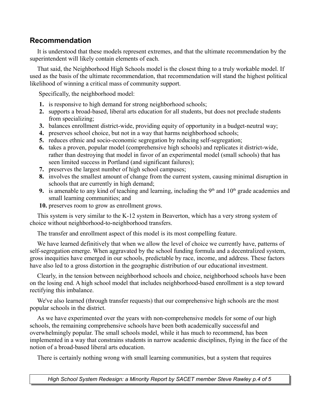## **Recommendation**

It is understood that these models represent extremes, and that the ultimate recommendation by the superintendent will likely contain elements of each.

That said, the Neighborhood High Schools model is the closest thing to a truly workable model. If used as the basis of the ultimate recommendation, that recommendation will stand the highest political likelihood of winning a critical mass of community support.

Specifically, the neighborhood model:

- **1.** is responsive to high demand for strong neighborhood schools;
- **2.** supports a broad-based, liberal arts education for all students, but does not preclude students from specializing;
- **3.** balances enrollment district-wide, providing equity of opportunity in a budget-neutral way;
- **4.** preserves school choice, but not in a way that harms neighborhood schools;
- **5.** reduces ethnic and socio-economic segregation by reducing self-segregation;
- **6.** takes a proven, popular model (comprehensive high schools) and replicates it district-wide, rather than destroying that model in favor of an experimental model (small schools) that has seen limited success in Portland (and significant failures);
- **7.** preserves the largest number of high school campuses;
- **8.** involves the smallest amount of change from the current system, causing minimal disruption in schools that are currently in high demand;
- **9.** is amenable to any kind of teaching and learning, including the  $9<sup>th</sup>$  and  $10<sup>th</sup>$  grade academies and small learning communities; and
- **10.** preserves room to grow as enrollment grows.

This system is very similar to the K-12 system in Beaverton, which has a very strong system of choice without neighborhood-to-neighborhood transfers.

The transfer and enrollment aspect of this model is its most compelling feature.

We have learned definitively that when we allow the level of choice we currently have, patterns of self-segregation emerge. When aggravated by the school funding formula and a decentralized system, gross inequities have emerged in our schools, predictable by race, income, and address. These factors have also led to a gross distortion in the geographic distribution of our educational investment.

Clearly, in the tension between neighborhood schools and choice, neighborhood schools have been on the losing end. A high school model that includes neighborhood-based enrollment is a step toward rectifying this imbalance.

We've also learned (through transfer requests) that our comprehensive high schools are the most popular schools in the district.

As we have experimented over the years with non-comprehensive models for some of our high schools, the remaining comprehensive schools have been both academically successful and overwhelmingly popular. The small schools model, while it has much to recommend, has been implemented in a way that constrains students in narrow academic disciplines, flying in the face of the notion of a broad-based liberal arts education.

There is certainly nothing wrong with small learning communities, but a system that requires